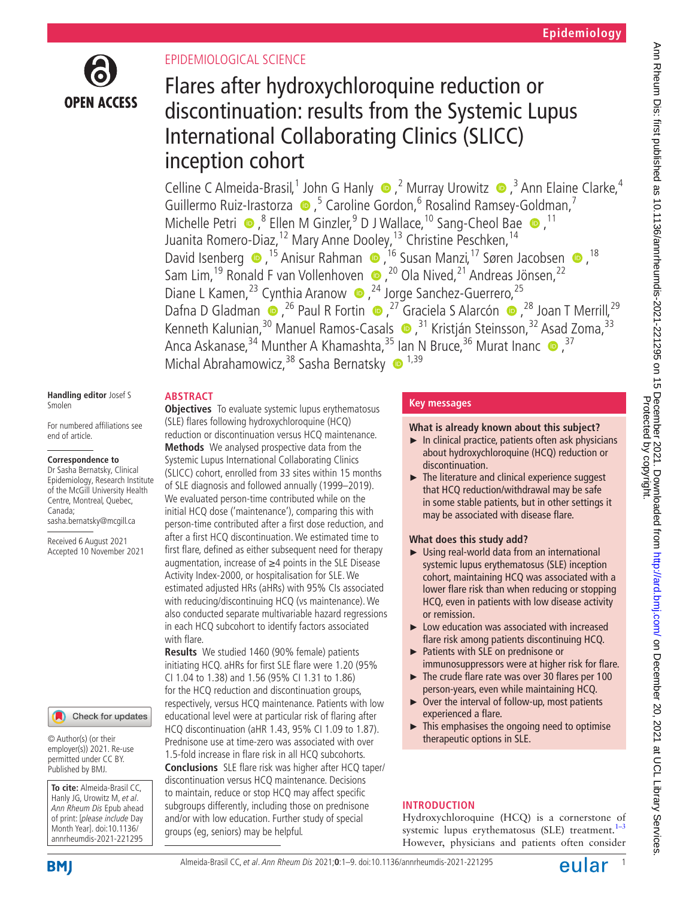

# EPIDEMIOLOGICAL SCIENCE

# Flares after hydroxychloroquine reduction or discontinuation: results from the Systemic Lupus International Collaborating Clinics (SLICC) inception cohort

CellineC Almeida-Brasil,<sup>1</sup> John G Hanly  $\bigcirc$ ,<sup>2</sup> Murray Urowitz  $\bigcirc$ ,<sup>3</sup> Ann Elaine Clarke,<sup>4</sup> Guillermo Ruiz-Irastorza  $\bullet$ , <sup>5</sup> Caroline Gordon, <sup>6</sup> Rosalind Ramsey-Goldman, <sup>7</sup> MichellePetri  $\bullet$ ,<sup>8</sup> Ellen M Ginzler,<sup>9</sup> D J Wallace,<sup>10</sup> Sang-Cheol Bae  $\bullet$ ,<sup>11</sup> Juanita Romero-Diaz,<sup>12</sup> Mary Anne Dooley,<sup>13</sup> Christine Peschken,<sup>14</sup> DavidIsenberg  $\bullet$ , <sup>15</sup> Anisur Rahman  $\bullet$ , <sup>16</sup> Susan Manzi, <sup>17</sup> Søren Jacobsen  $\bullet$ , <sup>18</sup> Sam Lim,<sup>19</sup> Ronald F van Vollenhoven  $\bullet$ ,<sup>20</sup> Ola Nived,<sup>21</sup> Andreas Jönsen,<sup>22</sup> Diane L Kamen,<sup>23</sup> Cynthia Aranow (a 24 Jorge Sanchez-Guerrero, 25 DafnaD Gladman  $\bullet$ , <sup>26</sup> Paul R Fortin  $\bullet$ , <sup>27</sup> Graciela S Alarcón  $\bullet$ , <sup>28</sup> Joan T Merrill, <sup>29</sup> KennethKalunian,<sup>30</sup> Manuel Ramos-Casals (D),<sup>31</sup> Kristján Steinsson,<sup>32</sup> Asad Zoma,<sup>33</sup> Anca Askanase,<sup>34</sup> Munther A Khamashta,<sup>35</sup> Ian N Bruce,<sup>36</sup> Murat Inanc  $\bullet$ ,<sup>37</sup> Michal Abrahamowicz,  $38$  Sasha Bernatsky  $\bullet$   $1,39$ 

#### **Handling editor** Josef S Smolen

For numbered affiliations see end of article.

## **Correspondence to**

Dr Sasha Bernatsky, Clinical Epidemiology, Research Institute of the McGill University Health Centre, Montreal, Quebec, Canada; sasha.bernatsky@mcgill.ca

Received 6 August 2021 Accepted 10 November 2021

## Check for updates

© Author(s) (or their employer(s)) 2021. Re-use permitted under CC BY. Published by BMJ.

**To cite:** Almeida-Brasil CC, Hanly JG, Urowitz M, et al. Ann Rheum Dis Epub ahead of print: [please include Day Month Year]. doi:10.1136/ annrheumdis-2021-221295

# **ABSTRACT**

**Objectives** To evaluate systemic lupus erythematosus (SLE) flares following hydroxychloroquine (HCQ) reduction or discontinuation versus HCQ maintenance. **Methods** We analysed prospective data from the Systemic Lupus International Collaborating Clinics (SLICC) cohort, enrolled from 33 sites within 15 months of SLE diagnosis and followed annually (1999–2019). We evaluated person-time contributed while on the initial HCQ dose ('maintenance'), comparing this with person-time contributed after a first dose reduction, and after a first HCQ discontinuation. We estimated time to first flare, defined as either subsequent need for therapy augmentation, increase of ≥4 points in the SLE Disease Activity Index-2000, or hospitalisation for SLE. We estimated adjusted HRs (aHRs) with 95% CIs associated with reducing/discontinuing HCQ (vs maintenance). We also conducted separate multivariable hazard regressions in each HCQ subcohort to identify factors associated with flare.

**Results** We studied 1460 (90% female) patients initiating HCQ. aHRs for first SLE flare were 1.20 (95% CI 1.04 to 1.38) and 1.56 (95% CI 1.31 to 1.86) for the HCQ reduction and discontinuation groups, respectively, versus HCQ maintenance. Patients with low educational level were at particular risk of flaring after HCQ discontinuation (aHR 1.43, 95% CI 1.09 to 1.87). Prednisone use at time-zero was associated with over 1.5-fold increase in flare risk in all HCQ subcohorts. **Conclusions** SLE flare risk was higher after HCQ taper/ discontinuation versus HCQ maintenance. Decisions to maintain, reduce or stop HCQ may affect specific subgroups differently, including those on prednisone and/or with low education. Further study of special groups (eg, seniors) may be helpful.

# **Key messages**

# **What is already known about this subject?**

- $\blacktriangleright$  In clinical practice, patients often ask physicians about hydroxychloroquine (HCQ) reduction or discontinuation.
- ► The literature and clinical experience suggest that HCQ reduction/withdrawal may be safe in some stable patients, but in other settings it may be associated with disease flare.

# **What does this study add?**

- ► Using real-world data from an international systemic lupus erythematosus (SLE) inception cohort, maintaining HCQ was associated with a lower flare risk than when reducing or stopping HCQ, even in patients with low disease activity or remission.
- ► Low education was associated with increased flare risk among patients discontinuing HCQ.
- ► Patients with SLE on prednisone or immunosuppressors were at higher risk for flare.
- ► The crude flare rate was over 30 flares per 100 person-years, even while maintaining HCQ.
- ► Over the interval of follow-up, most patients experienced a flare.
- ► This emphasises the ongoing need to optimise therapeutic options in SLE.

# **INTRODUCTION**

Hydroxychloroquine (HCQ) is a cornerstone of systemic lupus erythematosus (SLE) treatment. $1-3$ However, physicians and patients often consider

**BMI** 

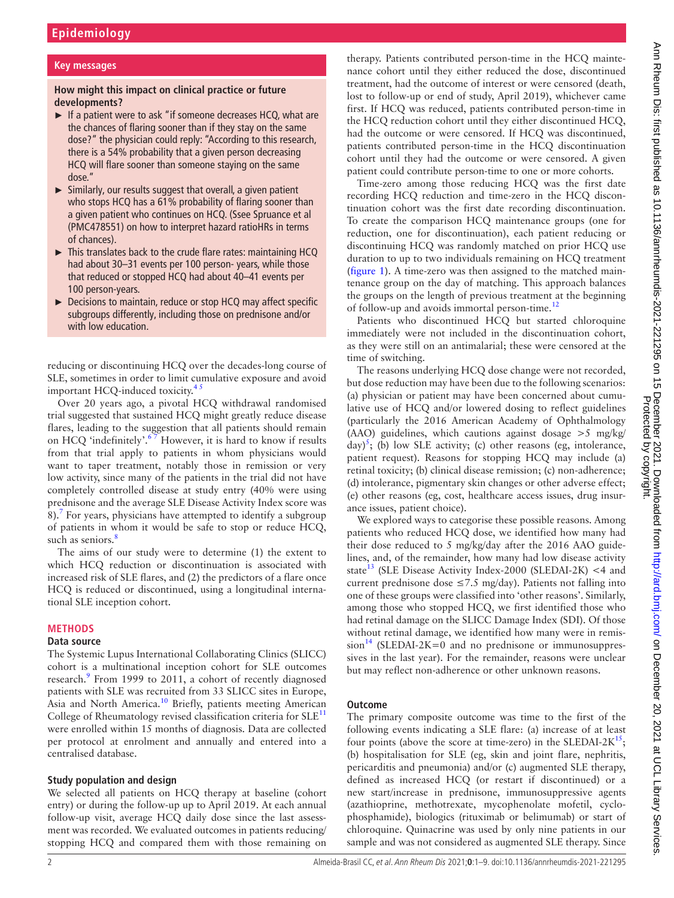#### **Key messages**

## **How might this impact on clinical practice or future developments?**

- ► If a patient were to ask "if someone decreases HCQ, what are the chances of flaring sooner than if they stay on the same dose?" the physician could reply: "According to this research, there is a 54% probability that a given person decreasing HCQ will flare sooner than someone staying on the same dose."
- ► Similarly, our results suggest that overall, a given patient who stops HCQ has a 61% probability of flaring sooner than a given patient who continues on HCQ. (Ssee Spruance et al (PMC478551) on how to interpret hazard ratioHRs in terms of chances).
- $\triangleright$  This translates back to the crude flare rates: maintaining HCQ had about 30–31 events per 100 person- years, while those that reduced or stopped HCQ had about 40–41 events per 100 person-years.
- ► Decisions to maintain, reduce or stop HCQ may affect specific subgroups differently, including those on prednisone and/or with low education.

reducing or discontinuing HCQ over the decades-long course of SLE, sometimes in order to limit cumulative exposure and avoid important HCQ-induced toxicity. $4<sup>5</sup>$ 

Over 20 years ago, a pivotal HCQ withdrawal randomised trial suggested that sustained HCQ might greatly reduce disease flares, leading to the suggestion that all patients should remain on HCQ 'indefinitely'.<sup>67</sup> However, it is hard to know if results from that trial apply to patients in whom physicians would want to taper treatment, notably those in remission or very low activity, since many of the patients in the trial did not have completely controlled disease at study entry (40% were using prednisone and the average SLE Disease Activity Index score was 8).<sup>[7](#page-7-3)</sup> For years, physicians have attempted to identify a subgroup of patients in whom it would be safe to stop or reduce HCQ, such as seniors.<sup>[8](#page-7-4)</sup>

The aims of our study were to determine (1) the extent to which HCQ reduction or discontinuation is associated with increased risk of SLE flares, and (2) the predictors of a flare once HCQ is reduced or discontinued, using a longitudinal international SLE inception cohort.

#### **METHODS**

#### **Data source**

The Systemic Lupus International Collaborating Clinics (SLICC) cohort is a multinational inception cohort for SLE outcomes research.<sup>9</sup> From 1999 to 2011, a cohort of recently diagnosed patients with SLE was recruited from 33 SLICC sites in Europe, Asia and North America.<sup>10</sup> Briefly, patients meeting American College of Rheumatology revised classification criteria for  $SLE<sup>11</sup>$  $SLE<sup>11</sup>$  $SLE<sup>11</sup>$ were enrolled within 15 months of diagnosis. Data are collected per protocol at enrolment and annually and entered into a centralised database.

#### **Study population and design**

We selected all patients on HCQ therapy at baseline (cohort entry) or during the follow-up up to April 2019. At each annual follow-up visit, average HCQ daily dose since the last assessment was recorded. We evaluated outcomes in patients reducing/ stopping HCQ and compared them with those remaining on

therapy. Patients contributed person-time in the HCQ maintenance cohort until they either reduced the dose, discontinued treatment, had the outcome of interest or were censored (death, lost to follow-up or end of study, April 2019), whichever came first. If HCQ was reduced, patients contributed person-time in the HCQ reduction cohort until they either discontinued HCQ, had the outcome or were censored. If HCQ was discontinued, patients contributed person-time in the HCQ discontinuation cohort until they had the outcome or were censored. A given patient could contribute person-time to one or more cohorts.

Time-zero among those reducing HCQ was the first date recording HCQ reduction and time-zero in the HCQ discontinuation cohort was the first date recording discontinuation. To create the comparison HCQ maintenance groups (one for reduction, one for discontinuation), each patient reducing or discontinuing HCQ was randomly matched on prior HCQ use duration to up to two individuals remaining on HCQ treatment ([figure](#page-2-0) 1). A time-zero was then assigned to the matched maintenance group on the day of matching. This approach balances the groups on the length of previous treatment at the beginning of follow-up and avoids immortal person-time.<sup>[12](#page-7-8)</sup>

Patients who discontinued HCQ but started chloroquine immediately were not included in the discontinuation cohort, as they were still on an antimalarial; these were censored at the time of switching.

The reasons underlying HCQ dose change were not recorded, but dose reduction may have been due to the following scenarios: (a) physician or patient may have been concerned about cumulative use of HCQ and/or lowered dosing to reflect guidelines (particularly the 2016 American Academy of Ophthalmology (AAO) guidelines, which cautions against dosage >5 mg/kg/ day)<sup>[5](#page-7-9)</sup>; (b) low SLE activity; (c) other reasons (eg, intolerance, patient request). Reasons for stopping HCQ may include (a) retinal toxicity; (b) clinical disease remission; (c) non-adherence; (d) intolerance, pigmentary skin changes or other adverse effect; (e) other reasons (eg, cost, healthcare access issues, drug insurance issues, patient choice).

We explored ways to categorise these possible reasons. Among patients who reduced HCQ dose, we identified how many had their dose reduced to 5 mg/kg/day after the 2016 AAO guidelines, and, of the remainder, how many had low disease activity state<sup>13</sup> (SLE Disease Activity Index-2000 (SLEDAI-2K) <4 and current prednisone dose  $\leq$ 7.5 mg/day). Patients not falling into one of these groups were classified into 'other reasons'. Similarly, among those who stopped HCQ, we first identified those who had retinal damage on the SLICC Damage Index (SDI). Of those without retinal damage, we identified how many were in remis- $sion<sup>14</sup>$  $sion<sup>14</sup>$  $sion<sup>14</sup>$  (SLEDAI-2K=0 and no prednisone or immunosuppressives in the last year). For the remainder, reasons were unclear but may reflect non-adherence or other unknown reasons.

#### **Outcome**

The primary composite outcome was time to the first of the following events indicating a SLE flare: (a) increase of at least four points (above the score at time-zero) in the SLEDAI-2 $K^{15}$  $K^{15}$  $K^{15}$ ; (b) hospitalisation for SLE (eg, skin and joint flare, nephritis, pericarditis and pneumonia) and/or (c) augmented SLE therapy, defined as increased HCQ (or restart if discontinued) or a new start/increase in prednisone, immunosuppressive agents (azathioprine, methotrexate, mycophenolate mofetil, cyclophosphamide), biologics (rituximab or belimumab) or start of chloroquine. Quinacrine was used by only nine patients in our sample and was not considered as augmented SLE therapy. Since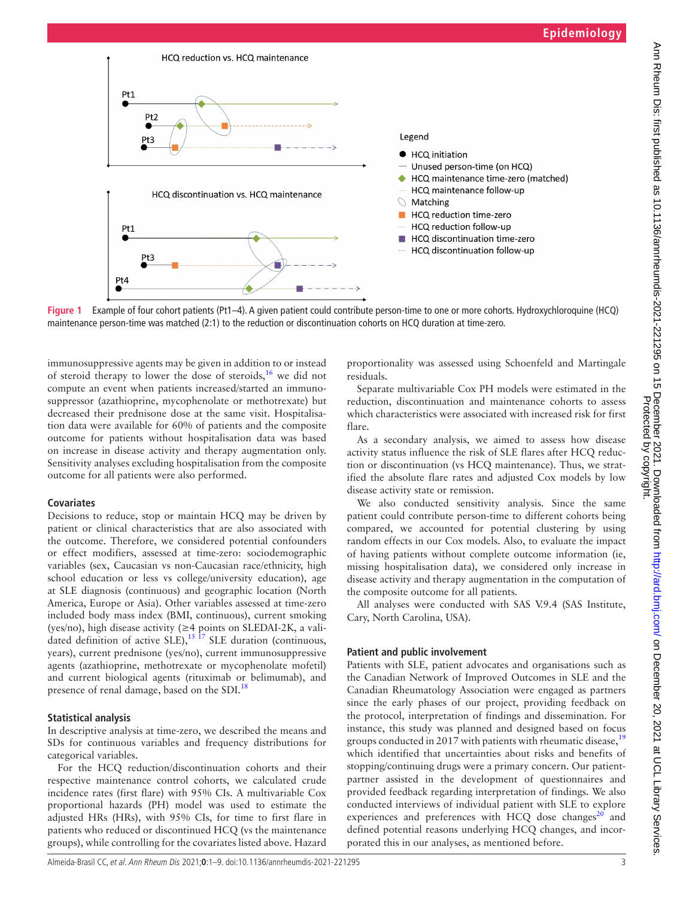

<span id="page-2-0"></span>**Figure 1** Example of four cohort patients (Pt1–4). A given patient could contribute person-time to one or more cohorts. Hydroxychloroquine (HCQ) maintenance person-time was matched (2:1) to the reduction or discontinuation cohorts on HCQ duration at time-zero.

immunosuppressive agents may be given in addition to or instead of steroid therapy to lower the dose of steroids,[16](#page-7-13) we did not compute an event when patients increased/started an immunosuppressor (azathioprine, mycophenolate or methotrexate) but decreased their prednisone dose at the same visit. Hospitalisation data were available for 60% of patients and the composite outcome for patients without hospitalisation data was based on increase in disease activity and therapy augmentation only. Sensitivity analyses excluding hospitalisation from the composite outcome for all patients were also performed.

## **Covariates**

Decisions to reduce, stop or maintain HCQ may be driven by patient or clinical characteristics that are also associated with the outcome. Therefore, we considered potential confounders or effect modifiers, assessed at time-zero: sociodemographic variables (sex, Caucasian vs non-Caucasian race/ethnicity, high school education or less vs college/university education), age at SLE diagnosis (continuous) and geographic location (North America, Europe or Asia). Other variables assessed at time-zero included body mass index (BMI, continuous), current smoking (yes/no), high disease activity (≥4 points on SLEDAI-2K, a validated definition of active SLE),  $15 \frac{17}{17}$  SLE duration (continuous, years), current prednisone (yes/no), current immunosuppressive agents (azathioprine, methotrexate or mycophenolate mofetil) and current biological agents (rituximab or belimumab), and presence of renal damage, based on the SDI.<sup>[18](#page-7-14)</sup>

## **Statistical analysis**

In descriptive analysis at time-zero, we described the means and SDs for continuous variables and frequency distributions for categorical variables.

For the HCQ reduction/discontinuation cohorts and their respective maintenance control cohorts, we calculated crude incidence rates (first flare) with 95% CIs. A multivariable Cox proportional hazards (PH) model was used to estimate the adjusted HRs (HRs), with 95% CIs, for time to first flare in patients who reduced or discontinued HCQ (vs the maintenance groups), while controlling for the covariates listed above. Hazard

proportionality was assessed using Schoenfeld and Martingale residuals.

Separate multivariable Cox PH models were estimated in the reduction, discontinuation and maintenance cohorts to assess which characteristics were associated with increased risk for first flare.

As a secondary analysis, we aimed to assess how disease activity status influence the risk of SLE flares after HCQ reduction or discontinuation (vs HCQ maintenance). Thus, we stratified the absolute flare rates and adjusted Cox models by low disease activity state or remission.

We also conducted sensitivity analysis. Since the same patient could contribute person-time to different cohorts being compared, we accounted for potential clustering by using random effects in our Cox models. Also, to evaluate the impact of having patients without complete outcome information (ie, missing hospitalisation data), we considered only increase in disease activity and therapy augmentation in the computation of the composite outcome for all patients.

All analyses were conducted with SAS V.9.4 (SAS Institute, Cary, North Carolina, USA).

## **Patient and public involvement**

Patients with SLE, patient advocates and organisations such as the Canadian Network of Improved Outcomes in SLE and the Canadian Rheumatology Association were engaged as partners since the early phases of our project, providing feedback on the protocol, interpretation of findings and dissemination. For instance, this study was planned and designed based on focus groups conducted in 2017 with patients with rheumatic disease,  $19$ which identified that uncertainties about risks and benefits of stopping/continuing drugs were a primary concern. Our patientpartner assisted in the development of questionnaires and provided feedback regarding interpretation of findings. We also conducted interviews of individual patient with SLE to explore experiences and preferences with HCQ dose changes $^{20}$  and defined potential reasons underlying HCQ changes, and incorporated this in our analyses, as mentioned before.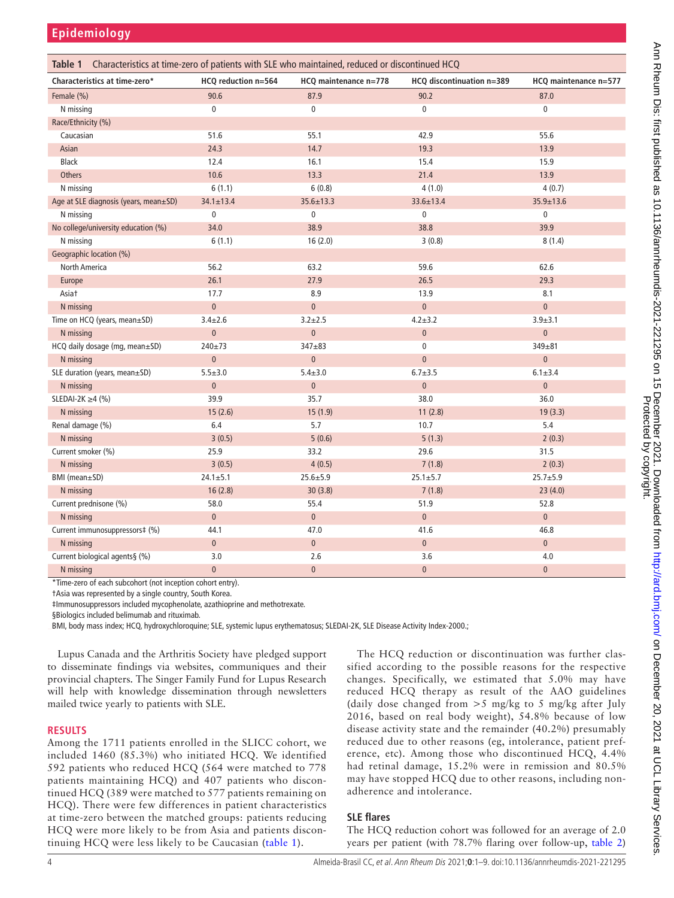**Epidemiology**

<span id="page-3-0"></span>

| Characteristics at time-zero of patients with SLE who maintained, reduced or discontinued HCQ<br>Table 1 |                     |                       |                           |                       |
|----------------------------------------------------------------------------------------------------------|---------------------|-----------------------|---------------------------|-----------------------|
| Characteristics at time-zero*                                                                            | HCQ reduction n=564 | HCQ maintenance n=778 | HCQ discontinuation n=389 | HCQ maintenance n=577 |
| Female (%)                                                                                               | 90.6                | 87.9                  | 90.2                      | 87.0                  |
| N missing                                                                                                | $\mathbf 0$         | $\pmb{0}$             | $\mathbf 0$               | $\mathbf 0$           |
| Race/Ethnicity (%)                                                                                       |                     |                       |                           |                       |
| Caucasian                                                                                                | 51.6                | 55.1                  | 42.9                      | 55.6                  |
| Asian                                                                                                    | 24.3                | 14.7                  | 19.3                      | 13.9                  |
| <b>Black</b>                                                                                             | 12.4                | 16.1                  | 15.4                      | 15.9                  |
| <b>Others</b>                                                                                            | 10.6                | 13.3                  | 21.4                      | 13.9                  |
| N missing                                                                                                | 6(1.1)              | 6(0.8)                | 4(1.0)                    | 4(0.7)                |
| Age at SLE diagnosis (years, mean±SD)                                                                    | $34.1 \pm 13.4$     | $35.6 \pm 13.3$       | 33.6±13.4                 | $35.9 \pm 13.6$       |
| N missing                                                                                                | 0                   | $\pmb{0}$             | $\pmb{0}$                 | $\mathbf 0$           |
| No college/university education (%)                                                                      | 34.0                | 38.9                  | 38.8                      | 39.9                  |
| N missing                                                                                                | 6(1.1)              | 16(2.0)               | 3(0.8)                    | 8(1.4)                |
| Geographic location (%)                                                                                  |                     |                       |                           |                       |
| North America                                                                                            | 56.2                | 63.2                  | 59.6                      | 62.6                  |
| Europe                                                                                                   | 26.1                | 27.9                  | 26.5                      | 29.3                  |
| Asiat                                                                                                    | 17.7                | 8.9                   | 13.9                      | 8.1                   |
| N missing                                                                                                | $\overline{0}$      | $\pmb{0}$             | $\pmb{0}$                 | $\mathbf 0$           |
| Time on HCQ (years, mean±SD)                                                                             | $3.4 + 2.6$         | $3.2 + 2.5$           | $4.2 + 3.2$               | $3.9 + 3.1$           |
| N missing                                                                                                | $\mathbf 0$         | $\pmb{0}$             | $\pmb{0}$                 | $\mathbf 0$           |
| HCQ daily dosage (mg, mean±SD)                                                                           | 240±73              | $347 + 83$            | $\pmb{0}$                 | 349±81                |
| N missing                                                                                                | $\pmb{0}$           | $\pmb{0}$             | $\pmb{0}$                 | $\mathbf 0$           |
| SLE duration (years, mean±SD)                                                                            | $5.5 + 3.0$         | $5.4 + 3.0$           | $6.7 \pm 3.5$             | $6.1 + 3.4$           |
| N missing                                                                                                | $\overline{0}$      | $\pmb{0}$             | $\pmb{0}$                 | $\mathbf 0$           |
| SLEDAI-2K $\geq$ 4 (%)                                                                                   | 39.9                | 35.7                  | 38.0                      | 36.0                  |
| N missing                                                                                                | 15(2.6)             | 15(1.9)               | 11(2.8)                   | 19(3.3)               |
| Renal damage (%)                                                                                         | 6.4                 | 5.7                   | 10.7                      | 5.4                   |
| N missing                                                                                                | 3(0.5)              | 5(0.6)                | 5(1.3)                    | 2(0.3)                |
| Current smoker (%)                                                                                       | 25.9                | 33.2                  | 29.6                      | 31.5                  |
| N missing                                                                                                | 3(0.5)              | 4(0.5)                | 7(1.8)                    | 2(0.3)                |
| BMI (mean±SD)                                                                                            | $24.1 \pm 5.1$      | $25.6 + 5.9$          | $25.1 \pm 5.7$            | $25.7 + 5.9$          |
| N missing                                                                                                | 16(2.8)             | 30(3.8)               | 7(1.8)                    | 23(4.0)               |
| Current prednisone (%)                                                                                   | 58.0                | 55.4                  | 51.9                      | 52.8                  |
| N missing                                                                                                | $\overline{0}$      | $\pmb{0}$             | $\pmb{0}$                 | $\mathbf 0$           |
| Current immunosuppressors‡ (%)                                                                           | 44.1                | 47.0                  | 41.6                      | 46.8                  |
| N missing                                                                                                | $\mathbf{0}$        | $\pmb{0}$             | $\pmb{0}$                 | $\pmb{0}$             |
| Current biological agents§ (%)                                                                           | 3.0                 | 2.6                   | 3.6                       | 4.0                   |
| N missing                                                                                                | $\overline{0}$      | $\pmb{0}$             | $\mathbf{0}$              | $\overline{0}$        |

\*Time-zero of each subcohort (not inception cohort entry).

†Asia was represented by a single country, South Korea.

‡Immunosuppressors included mycophenolate, azathioprine and methotrexate.

§Biologics included belimumab and rituximab.

BMI, body mass index; HCQ, hydroxychloroquine; SLE, systemic lupus erythematosus; SLEDAI-2K, SLE Disease Activity Index-2000.;

Lupus Canada and the Arthritis Society have pledged support to disseminate findings via websites, communiques and their provincial chapters. The Singer Family Fund for Lupus Research will help with knowledge dissemination through newsletters mailed twice yearly to patients with SLE.

#### **RESULTS**

Among the 1711 patients enrolled in the SLICC cohort, we included 1460 (85.3%) who initiated HCQ. We identified 592 patients who reduced HCQ (564 were matched to 778 patients maintaining HCQ) and 407 patients who discontinued HCQ (389 were matched to 577 patients remaining on HCQ). There were few differences in patient characteristics at time-zero between the matched groups: patients reducing HCQ were more likely to be from Asia and patients discontinuing HCQ were less likely to be Caucasian ([table](#page-3-0) 1).

The HCQ reduction or discontinuation was further classified according to the possible reasons for the respective changes. Specifically, we estimated that 5.0% may have reduced HCQ therapy as result of the AAO guidelines (daily dose changed from  $>5$  mg/kg to 5 mg/kg after July 2016, based on real body weight), 54.8% because of low disease activity state and the remainder (40.2%) presumably reduced due to other reasons (eg, intolerance, patient preference, etc). Among those who discontinued HCQ, 4.4% had retinal damage, 15.2% were in remission and 80.5% may have stopped HCQ due to other reasons, including nonadherence and intolerance.

## **SLE flares**

The HCQ reduction cohort was followed for an average of 2.0 years per patient (with 78.7% flaring over follow-up, [table](#page-4-0) 2)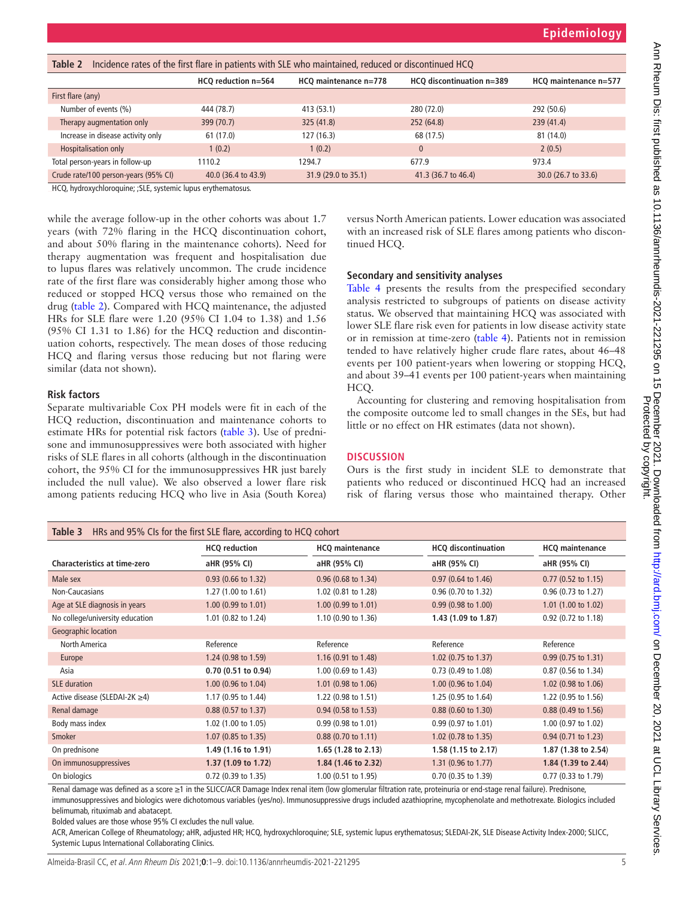<span id="page-4-0"></span>

| Incidence rates of the first flare in patients with SLE who maintained, reduced or discontinued HCQ<br>Table 2 |                     |                       |                           |                       |  |
|----------------------------------------------------------------------------------------------------------------|---------------------|-----------------------|---------------------------|-----------------------|--|
|                                                                                                                | HCQ reduction n=564 | HCQ maintenance n=778 | HCQ discontinuation n=389 | HCQ maintenance n=577 |  |
| First flare (any)                                                                                              |                     |                       |                           |                       |  |
| Number of events (%)                                                                                           | 444 (78.7)          | 413 (53.1)            | 280 (72.0)                | 292 (50.6)            |  |
| Therapy augmentation only                                                                                      | 399 (70.7)          | 325(41.8)             | 252 (64.8)                | 239(41.4)             |  |
| Increase in disease activity only                                                                              | 61 (17.0)           | 127 (16.3)            | 68 (17.5)                 | 81 (14.0)             |  |
| Hospitalisation only                                                                                           | 1(0.2)              | 1(0.2)                | $\mathbf{0}$              | 2(0.5)                |  |
| Total person-years in follow-up                                                                                | 1110.2              | 1294.7                | 677.9                     | 973.4                 |  |
| Crude rate/100 person-years (95% CI)                                                                           | 40.0 (36.4 to 43.9) | 31.9 (29.0 to 35.1)   | 41.3 (36.7 to 46.4)       | 30.0 (26.7 to 33.6)   |  |

HCQ, hydroxychloroquine; ;SLE, systemic lupus erythematosus.

while the average follow-up in the other cohorts was about 1.7 years (with 72% flaring in the HCQ discontinuation cohort, and about 50% flaring in the maintenance cohorts). Need for therapy augmentation was frequent and hospitalisation due to lupus flares was relatively uncommon. The crude incidence rate of the first flare was considerably higher among those who reduced or stopped HCQ versus those who remained on the drug ([table](#page-4-0) 2). Compared with HCQ maintenance, the adjusted HRs for SLE flare were 1.20 (95% CI 1.04 to 1.38) and 1.56 (95% CI 1.31 to 1.86) for the HCQ reduction and discontinuation cohorts, respectively. The mean doses of those reducing HCQ and flaring versus those reducing but not flaring were similar (data not shown).

## **Risk factors**

Separate multivariable Cox PH models were fit in each of the HCQ reduction, discontinuation and maintenance cohorts to estimate HRs for potential risk factors ([table](#page-4-1) 3). Use of prednisone and immunosuppressives were both associated with higher risks of SLE flares in all cohorts (although in the discontinuation cohort, the 95% CI for the immunosuppressives HR just barely included the null value). We also observed a lower flare risk among patients reducing HCQ who live in Asia (South Korea) versus North American patients. Lower education was associated with an increased risk of SLE flares among patients who discontinued HCQ.

## **Secondary and sensitivity analyses**

[Table](#page-5-0) 4 presents the results from the prespecified secondary analysis restricted to subgroups of patients on disease activity status. We observed that maintaining HCQ was associated with lower SLE flare risk even for patients in low disease activity state or in remission at time-zero ([table](#page-5-0) 4). Patients not in remission tended to have relatively higher crude flare rates, about 46–48 events per 100 patient-years when lowering or stopping HCQ, and about 39–41 events per 100 patient-years when maintaining HCQ.

Accounting for clustering and removing hospitalisation from the composite outcome led to small changes in the SEs, but had little or no effect on HR estimates (data not shown).

## **DISCUSSION**

Ours is the first study in incident SLE to demonstrate that patients who reduced or discontinued HCQ had an increased risk of flaring versus those who maintained therapy. Other

<span id="page-4-1"></span>

| HRs and 95% CIs for the first SLE flare, according to HCQ cohort<br>Table 3 |                       |                                            |                                |                               |  |
|-----------------------------------------------------------------------------|-----------------------|--------------------------------------------|--------------------------------|-------------------------------|--|
|                                                                             | <b>HCQ</b> reduction  | <b>HCQ</b> maintenance                     | <b>HCQ</b> discontinuation     | <b>HCQ</b> maintenance        |  |
| <b>Characteristics at time-zero</b>                                         | aHR (95% CI)          | aHR (95% CI)                               |                                | aHR (95% CI)                  |  |
| Male sex                                                                    | $0.93$ (0.66 to 1.32) | $0.96$ (0.68 to 1.34)                      | 0.97 (0.64 to 1.46)            | $0.77$ (0.52 to 1.15)         |  |
| Non-Caucasians                                                              | 1.27(1.00 to 1.61)    | 1.02 (0.81 to 1.28)<br>0.96 (0.70 to 1.32) |                                | $0.96$ (0.73 to 1.27)         |  |
| Age at SLE diagnosis in years                                               | 1.00 (0.99 to 1.01)   | 1.00 (0.99 to 1.01)                        | $0.99(0.98 \text{ to } 1.00)$  | 1.01 (1.00 to 1.02)           |  |
| No college/university education                                             | 1.01 (0.82 to 1.24)   | 1.10 (0.90 to 1.36)                        | 1.43 (1.09 to 1.87)            | 0.92 (0.72 to 1.18)           |  |
| Geographic location                                                         |                       |                                            |                                |                               |  |
| North America                                                               | Reference             | Reference                                  | Reference                      | Reference                     |  |
| Europe                                                                      | 1.24 (0.98 to 1.59)   | 1.16 (0.91 to 1.48)                        | 1.02 $(0.75$ to 1.37)          | $0.99(0.75 \text{ to } 1.31)$ |  |
| Asia                                                                        | 0.70 (0.51 to 0.94)   | 1.00 (0.69 to 1.43)                        | 0.73 (0.49 to 1.08)            | 0.87 (0.56 to 1.34)           |  |
| <b>SLE</b> duration                                                         | 1.00 (0.96 to 1.04)   | 1.01 (0.98 to 1.06)                        | 1.00 (0.96 to 1.04)            | 1.02 (0.98 to 1.06)           |  |
| Active disease (SLEDAI-2K ≥4)                                               | 1.17 (0.95 to 1.44)   | 1.22 (0.98 to 1.51)                        | 1.25 (0.95 to 1.64)            | 1.22 (0.95 to 1.56)           |  |
| Renal damage                                                                | 0.88 (0.57 to 1.37)   | $0.94$ (0.58 to 1.53)                      | $0.88$ (0.60 to 1.30)          | 0.88 (0.49 to 1.56)           |  |
| Body mass index                                                             | 1.02 (1.00 to 1.05)   | 0.99 (0.98 to 1.01)                        | $0.99(0.97 \text{ to } 1.01)$  | 1.00 (0.97 to 1.02)           |  |
| Smoker                                                                      | 1.07 (0.85 to 1.35)   | $0.88$ (0.70 to 1.11)                      | 1.02 (0.78 to 1.35)            | $0.94$ (0.71 to 1.23)         |  |
| On prednisone                                                               | 1.49 (1.16 to 1.91)   | 1.65 $(1.28 \text{ to } 2.13)$             | 1.58 (1.15 to 2.17)            | 1.87 (1.38 to 2.54)           |  |
| On immunosuppressives                                                       | 1.37 (1.09 to 1.72)   | 1.84 (1.46 to 2.32)                        | 1.31 $(0.96 \text{ to } 1.77)$ | 1.84 (1.39 to 2.44)           |  |
| On biologics                                                                | 0.72 (0.39 to 1.35)   | 1.00 (0.51 to 1.95)                        | 0.70 (0.35 to 1.39)            | 0.77 (0.33 to 1.79)           |  |

Renal damage was defined as a score ≥1 in the SLICC/ACR Damage Index renal item (low glomerular filtration rate, proteinuria or end-stage renal failure). Prednisone, immunosuppressives and biologics were dichotomous variables (yes/no). Immunosuppressive drugs included azathioprine, mycophenolate and methotrexate. Biologics included belimumab, rituximab and abatacept.

Bolded values are those whose 95% CI excludes the null value.

ACR, American College of Rheumatology; aHR, adjusted HR; HCQ, hydroxychloroquine; SLE, systemic lupus erythematosus; SLEDAI-2K, SLE Disease Activity Index-2000; SLICC, Systemic Lupus International Collaborating Clinics.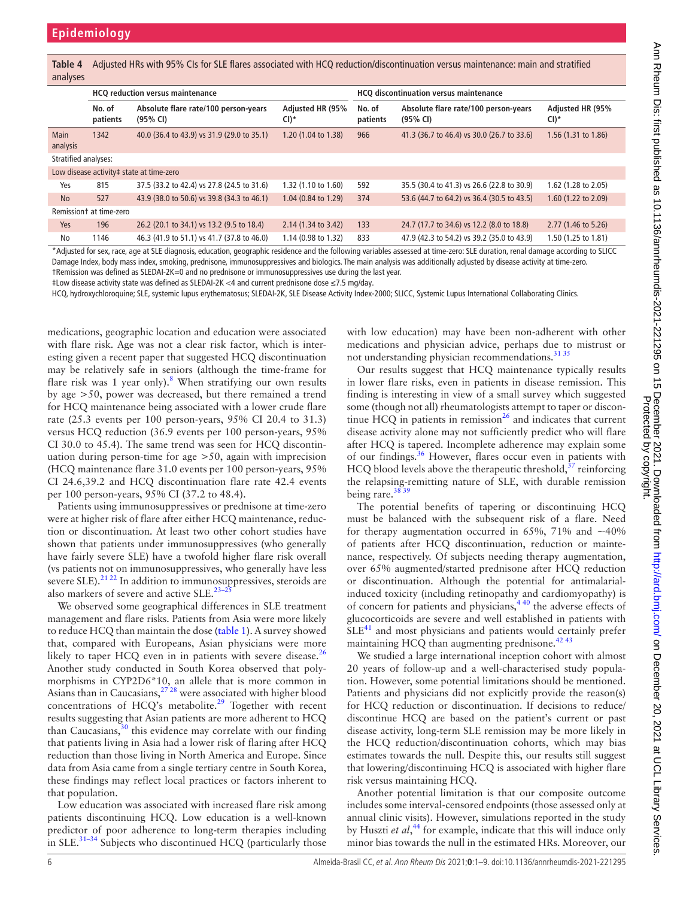<span id="page-5-0"></span>**Table 4** Adjusted HRs with 95% CIs for SLE flares associated with HCQ reduction/discontinuation versus maintenance: main and stratified analyses

|                                                                                                                                                                                                                                | <b>HCQ reduction versus maintenance</b> |                                                  |                          | <b>HCQ discontinuation versus maintenance</b> |                                                  |                            |
|--------------------------------------------------------------------------------------------------------------------------------------------------------------------------------------------------------------------------------|-----------------------------------------|--------------------------------------------------|--------------------------|-----------------------------------------------|--------------------------------------------------|----------------------------|
|                                                                                                                                                                                                                                | No. of<br>patients                      | Absolute flare rate/100 person-years<br>(95% CI) | Adjusted HR (95%<br>CI)* | No. of<br>patients                            | Absolute flare rate/100 person-years<br>(95% CI) | Adjusted HR (95%<br>$CI)*$ |
| <b>Main</b><br>analysis                                                                                                                                                                                                        | 1342                                    | 40.0 (36.4 to 43.9) vs 31.9 (29.0 to 35.1)       | 1.20 (1.04 to 1.38)      | 966                                           | 41.3 (36.7 to 46.4) vs 30.0 (26.7 to 33.6)       | 1.56 (1.31 to 1.86)        |
| Stratified analyses:                                                                                                                                                                                                           |                                         |                                                  |                          |                                               |                                                  |                            |
| Low disease activity# state at time-zero                                                                                                                                                                                       |                                         |                                                  |                          |                                               |                                                  |                            |
| Yes                                                                                                                                                                                                                            | 815                                     | 37.5 (33.2 to 42.4) vs 27.8 (24.5 to 31.6)       | 1.32 (1.10 to 1.60)      | 592                                           | 35.5 (30.4 to 41.3) vs 26.6 (22.8 to 30.9)       | 1.62 (1.28 to 2.05)        |
| <b>No</b>                                                                                                                                                                                                                      | 527                                     | 43.9 (38.0 to 50.6) vs 39.8 (34.3 to 46.1)       | 1.04 (0.84 to 1.29)      | 374                                           | 53.6 (44.7 to 64.2) vs 36.4 (30.5 to 43.5)       | 1.60 (1.22 to 2.09)        |
| Remissiont at time-zero                                                                                                                                                                                                        |                                         |                                                  |                          |                                               |                                                  |                            |
| <b>Yes</b>                                                                                                                                                                                                                     | 196                                     | 26.2 (20.1 to 34.1) vs 13.2 (9.5 to 18.4)        | 2.14 (1.34 to 3.42)      | 133                                           | 24.7 (17.7 to 34.6) vs 12.2 (8.0 to 18.8)        | 2.77 (1.46 to 5.26)        |
| No                                                                                                                                                                                                                             | 1146                                    | 46.3 (41.9 to 51.1) vs 41.7 (37.8 to 46.0)       | 1.14 (0.98 to 1.32)      | 833                                           | 47.9 (42.3 to 54.2) vs 39.2 (35.0 to 43.9)       | 1.50 (1.25 to 1.81)        |
| *A Bushelf and a common state of the state of a state of the state of the state of the state of the state of the state of the state of the state of the state of the state of the state of the state of the state of the state |                                         |                                                  |                          |                                               |                                                  |                            |

\*Adjusted for sex, race, age at SLE diagnosis, education, geographic residence and the following variables assessed at time-zero: SLE duration, renal damage according to SLICC Damage Index, body mass index, smoking, prednisone, immunosuppressives and biologics. The main analysis was additionally adjusted by disease activity at time-zero. †Remission was defined as SLEDAI-2K=0 and no prednisone or immunosuppressives use during the last year.

‡Low disease activity state was defined as SLEDAI-2K <4 and current prednisone dose ≤7.5 mg/day.

HCQ, hydroxychloroquine; SLE, systemic lupus erythematosus; SLEDAI-2K, SLE Disease Activity Index-2000; SLICC, Systemic Lupus International Collaborating Clinics.

medications, geographic location and education were associated with flare risk. Age was not a clear risk factor, which is interesting given a recent paper that suggested HCQ discontinuation may be relatively safe in seniors (although the time-frame for flare risk was  $1$  year only).<sup>[8](#page-7-4)</sup> When stratifying our own results by age >50, power was decreased, but there remained a trend for HCQ maintenance being associated with a lower crude flare rate (25.3 events per 100 person-years, 95% CI 20.4 to 31.3) versus HCQ reduction (36.9 events per 100 person-years, 95% CI 30.0 to 45.4). The same trend was seen for HCQ discontinuation during person-time for age >50, again with imprecision (HCQ maintenance flare 31.0 events per 100 person-years, 95% CI 24.6,39.2 and HCQ discontinuation flare rate 42.4 events per 100 person-years, 95% CI (37.2 to 48.4).

Patients using immunosuppressives or prednisone at time-zero were at higher risk of flare after either HCQ maintenance, reduction or discontinuation. At least two other cohort studies have shown that patients under immunosuppressives (who generally have fairly severe SLE) have a twofold higher flare risk overall (vs patients not on immunosuppressives, who generally have less severe SLE).<sup>21 22</sup> In addition to immunosuppressives, steroids are also markers of severe and active SLE. $^{23-2}$ 

We observed some geographical differences in SLE treatment management and flare risks. Patients from Asia were more likely to reduce HCQ than maintain the dose ([table](#page-3-0) 1). A survey showed that, compared with Europeans, Asian physicians were more likely to taper HCQ even in in patients with severe disease. $^{26}$  $^{26}$  $^{26}$ Another study conducted in South Korea observed that polymorphisms in CYP2D6\*10, an allele that is more common in Asians than in Caucasians[,27 28](#page-7-20) were associated with higher blood concentrations of HCQ's metabolite.<sup>29</sup> Together with recent results suggesting that Asian patients are more adherent to HCQ than Caucasians,<sup>[30](#page-7-22)</sup> this evidence may correlate with our finding that patients living in Asia had a lower risk of flaring after HCQ reduction than those living in North America and Europe. Since data from Asia came from a single tertiary centre in South Korea, these findings may reflect local practices or factors inherent to that population.

Low education was associated with increased flare risk among patients discontinuing HCQ. Low education is a well-known predictor of poor adherence to long-term therapies including in  $SLE^{31-34}$  Subjects who discontinued HCQ (particularly those

with low education) may have been non-adherent with other medications and physician advice, perhaps due to mistrust or not understanding physician recommendations.<sup>[31 35](#page-7-23)</sup>

Our results suggest that HCQ maintenance typically results in lower flare risks, even in patients in disease remission. This finding is interesting in view of a small survey which suggested some (though not all) rheumatologists attempt to taper or discontinue HCQ in patients in remission<sup>26</sup> and indicates that current disease activity alone may not sufficiently predict who will flare after HCQ is tapered. Incomplete adherence may explain some of our findings.<sup>[36](#page-7-24)</sup> However, flares occur even in patients with  $H CQ$  blood levels above the therapeutic threshold,  $37$  reinforcing the relapsing-remitting nature of SLE, with durable remission being rare. $3839$ 

The potential benefits of tapering or discontinuing HCQ must be balanced with the subsequent risk of a flare. Need for therapy augmentation occurred in 65%, 71% and  $~10\%$ of patients after HCQ discontinuation, reduction or maintenance, respectively. Of subjects needing therapy augmentation, over 65% augmented/started prednisone after HCQ reduction or discontinuation. Although the potential for antimalarialinduced toxicity (including retinopathy and cardiomyopathy) is of concern for patients and physicians,[4 40](#page-7-1) the adverse effects of glucocorticoids are severe and well established in patients with  $SLE<sup>41</sup>$  and most physicians and patients would certainly prefer maintaining HCQ than augmenting prednisone. $42\frac{43}{12}$ 

We studied a large international inception cohort with almost 20 years of follow-up and a well-characterised study population. However, some potential limitations should be mentioned. Patients and physicians did not explicitly provide the reason(s) for HCQ reduction or discontinuation. If decisions to reduce/ discontinue HCQ are based on the patient's current or past disease activity, long-term SLE remission may be more likely in the HCQ reduction/discontinuation cohorts, which may bias estimates towards the null. Despite this, our results still suggest that lowering/discontinuing HCQ is associated with higher flare risk versus maintaining HCQ.

Another potential limitation is that our composite outcome includes some interval-censored endpoints (those assessed only at annual clinic visits). However, simulations reported in the study by Huszti *et al*, [44](#page-8-0) for example, indicate that this will induce only minor bias towards the null in the estimated HRs. Moreover, our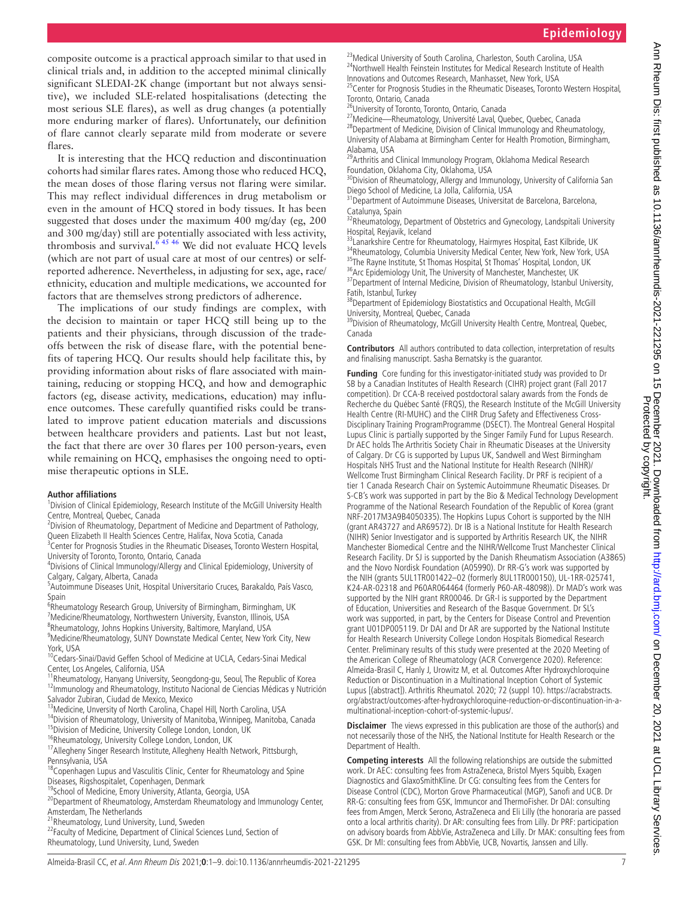composite outcome is a practical approach similar to that used in clinical trials and, in addition to the accepted minimal clinically significant SLEDAI-2K change (important but not always sensitive), we included SLE-related hospitalisations (detecting the most serious SLE flares), as well as drug changes (a potentially more enduring marker of flares). Unfortunately, our definition of flare cannot clearly separate mild from moderate or severe flares.

It is interesting that the HCQ reduction and discontinuation cohorts had similar flares rates. Among those who reduced HCQ, the mean doses of those flaring versus not flaring were similar. This may reflect individual differences in drug metabolism or even in the amount of HCQ stored in body tissues. It has been suggested that doses under the maximum 400 mg/day (eg, 200 and 300 mg/day) still are potentially associated with less activity, thrombosis and survival. $645\frac{46}{16}$  We did not evaluate HCQ levels (which are not part of usual care at most of our centres) or selfreported adherence. Nevertheless, in adjusting for sex, age, race/ ethnicity, education and multiple medications, we accounted for factors that are themselves strong predictors of adherence.

The implications of our study findings are complex, with the decision to maintain or taper HCQ still being up to the patients and their physicians, through discussion of the tradeoffs between the risk of disease flare, with the potential benefits of tapering HCQ. Our results should help facilitate this, by providing information about risks of flare associated with maintaining, reducing or stopping HCQ, and how and demographic factors (eg, disease activity, medications, education) may influence outcomes. These carefully quantified risks could be translated to improve patient education materials and discussions between healthcare providers and patients. Last but not least, the fact that there are over 30 flares per 100 person-years, even while remaining on HCQ, emphasises the ongoing need to optimise therapeutic options in SLE.

#### **Author affiliations**

<sup>1</sup>Division of Clinical Epidemiology, Research Institute of the McGill University Health Centre, Montreal, Quebec, Canada

<sup>2</sup> Division of Rheumatology, Department of Medicine and Department of Pathology, Queen Elizabeth II Health Sciences Centre, Halifax, Nova Scotia, Canada

<sup>3</sup> Center for Prognosis Studies in the Rheumatic Diseases, Toronto Western Hospital, University of Toronto, Toronto, Ontario, Canada

4 Divisions of Clinical Immunology/Allergy and Clinical Epidemiology, University of Calgary, Calgary, Alberta, Canada

5 Autoimmune Diseases Unit, Hospital Universitario Cruces, Barakaldo, País Vasco, Spain

<sup>6</sup>Rheumatology Research Group, University of Birmingham, Birmingham, UK <sup>7</sup>Medicine/Rheumatology, Northwestern University, Evanston, Illinois, USA <sup>8</sup>Rheumatology, Johns Hopkins University, Baltimore, Maryland, USA

9 Medicine/Rheumatology, SUNY Downstate Medical Center, New York City, New

York, USA <sup>10</sup>Cedars-Sinai/David Geffen School of Medicine at UCLA, Cedars-Sinai Medical

Center, Los Angeles, California, USA<br><sup>11</sup>Rheumatology, Hanyang University, Seongdong-gu, Seoul, The Republic of Korea 12<br><sup>12</sup>Immunology and Rheumatology, Instituto Nacional de Ciencias Médicas y Nutrición

Salvador Zubiran, Ciudad de Mexico, Mexico<br><sup>13</sup>Medicine, Unversity of North Carolina, Chapel Hill, North Carolina, USA <sup>14</sup>Division of Rheumatology, University of Manitoba, Winnipeg, Manitoba, Canada

<sup>15</sup>Division of Medicine, University College London, London, UK

<sup>16</sup>Rheumatology, University College London, London, UK

<sup>17</sup>Allegheny Singer Research Institute, Allegheny Health Network, Pittsburgh, Pennsylvania, USA

18Copenhagen Lupus and Vasculitis Clinic, Center for Rheumatology and Spine Diseases, Rigshospitalet, Copenhagen, Denmark

<sup>19</sup>School of Medicine, Emory University, Atlanta, Georgia, USA

<sup>20</sup>Department of Rheumatology, Amsterdam Rheumatology and Immunology Center, Amsterdam, The Netherlands

 $2^{21}$ Rheumatology, Lund University, Lund, Sweden

<sup>22</sup>Faculty of Medicine, Department of Clinical Sciences Lund, Section of Rheumatology, Lund University, Lund, Sweden

<sup>23</sup> Medical University of South Carolina, Charleston, South Carolina, USA <sup>24</sup>Northwell Health Feinstein Institutes for Medical Research Institute of Health Innovations and Outcomes Research, Manhasset, New York, USA

<sup>25</sup>Center for Prognosis Studies in the Rheumatic Diseases, Toronto Western Hospital, Toronto, Ontario, Canada

<sup>26</sup>University of Toronto, Toronto, Ontario, Canada

<sup>27</sup> Medicine—Rheumatology, Université Laval, Quebec, Quebec, Canada <sup>28</sup>Department of Medicine, Division of Clinical Immunology and Rheumatology, University of Alabama at Birmingham Center for Health Promotion, Birmingham, Alabama, USA

<sup>29</sup> Arthritis and Clinical Immunology Program, Oklahoma Medical Research Foundation, Oklahoma City, Oklahoma, USA

 $^0$ Division of Rheumatology, Allergy and Immunology, University of California San Diego School of Medicine, La Jolla, California, USA

<sup>31</sup> Department of Autoimmune Diseases, Universitat de Barcelona, Barcelona,

Catalunya, Spain<br><sup>32</sup>Rheumatology, Department of Obstetrics and Gynecology, Landspitali University Hospital, Reyjavik, Iceland

33Lanarkshire Centre for Rheumatology, Hairmyres Hospital, East Kilbride, UK <sup>34</sup>Rheumatology, Columbia University Medical Center, New York, New York, USA 35The Rayne Institute, St Thomas Hospital, St Thomas' Hospital, London, UK <sup>36</sup> Arc Epidemiology Unit, The University of Manchester, Manchester, UK

<sup>37</sup> Department of Internal Medicine, Division of Rheumatology, Istanbul University, Fatih, Istanbul, Turkey

<sup>38</sup>Department of Epidemiology Biostatistics and Occupational Health, McGill University, Montreal, Quebec, Canada

<sup>39</sup>Division of Rheumatology, McGill University Health Centre, Montreal, Quebec, Canada

**Contributors** All authors contributed to data collection, interpretation of results and finalising manuscript. Sasha Bernatsky is the guarantor.

**Funding** Core funding for this investigator-initiated study was provided to Dr SB by a Canadian Institutes of Health Research (CIHR) project grant (Fall 2017 competition). Dr CCA-B received postdoctoral salary awards from the Fonds de Recherche du Québec Santé (FRQS), the Research Institute of the McGill University Health Centre (RI-MUHC) and the CIHR Drug Safety and Effectiveness Cross-Disciplinary Training ProgramProgramme (DSECT). The Montreal General Hospital Lupus Clinic is partially supported by the Singer Family Fund for Lupus Research. Dr AEC holds The Arthritis Society Chair in Rheumatic Diseases at the University of Calgary. Dr CG is supported by Lupus UK, Sandwell and West Birmingham Hospitals NHS Trust and the National Institute for Health Research (NIHR)/ Wellcome Trust Birmingham Clinical Research Facility. Dr PRF is recipient of a tier 1 Canada Research Chair on Systemic Autoimmune Rheumatic Diseases. Dr S-CB's work was supported in part by the Bio & Medical Technology Development Programme of the National Research Foundation of the Republic of Korea (grant NRF-2017M3A9B4050335). The Hopkins Lupus Cohort is supported by the NIH (grant AR43727 and AR69572). Dr IB is a National Institute for Health Research (NIHR) Senior Investigator and is supported by Arthritis Research UK, the NIHR Manchester Biomedical Centre and the NIHR/Wellcome Trust Manchester Clinical Research Facility. Dr SJ is supported by the Danish Rheumatism Association (A3865) and the Novo Nordisk Foundation (A05990). Dr RR-G's work was supported by the NIH (grants 5UL1TR001422–02 (formerly 8UL1TR000150), UL-1RR-025741, K24-AR-02318 and P60AR064464 (formerly P60-AR-48098)). Dr MAD's work was supported by the NIH grant RR00046. Dr GR-I is supported by the Department of Education, Universities and Research of the Basque Government. Dr SL's work was supported, in part, by the Centers for Disease Control and Prevention grant U01DP005119. Dr DAI and Dr AR are supported by the National Institute for Health Research University College London Hospitals Biomedical Research Center. Preliminary results of this study were presented at the 2020 Meeting of the American College of Rheumatology (ACR Convergence 2020). Reference: Almeida-Brasil C, Hanly J, Urowitz M, et al. Outcomes After Hydroxychloroquine Reduction or Discontinuation in a Multinational Inception Cohort of Systemic Lupus [(abstract]). Arthritis Rheumatol. 2020; 72 (suppl 10). [https://acrabstracts.](https://acrabstracts.org/abstract/outcomes-after-hydroxychloroquine-reduction-or-discontinuation-in-a-multinational-inception-cohort-of-systemic-lupus/) [org/abstract/outcomes-after-hydroxychloroquine-reduction-or-discontinuation-in-a](https://acrabstracts.org/abstract/outcomes-after-hydroxychloroquine-reduction-or-discontinuation-in-a-multinational-inception-cohort-of-systemic-lupus/)[multinational-inception-cohort-of-systemic-lupus/.](https://acrabstracts.org/abstract/outcomes-after-hydroxychloroquine-reduction-or-discontinuation-in-a-multinational-inception-cohort-of-systemic-lupus/)

**Disclaimer** The views expressed in this publication are those of the author(s) and not necessarily those of the NHS, the National Institute for Health Research or the Department of Health.

**Competing interests** All the following relationships are outside the submitted work. Dr AEC: consulting fees from AstraZeneca, Bristol Myers Squibb, Exagen Diagnostics and GlaxoSmithKline. Dr CG: consulting fees from the Centers for Disease Control (CDC), Morton Grove Pharmaceutical (MGP), Sanofi and UCB. Dr RR-G: consulting fees from GSK, Immuncor and ThermoFisher. Dr DAI: consulting fees from Amgen, Merck Serono, AstraZeneca and Eli Lilly (the honoraria are passed onto a local arthritis charity). Dr AR: consulting fees from Lilly. Dr PRF: participation on advisory boards from AbbVie, AstraZeneca and Lilly. Dr MAK: consulting fees from GSK. Dr MI: consulting fees from AbbVie, UCB, Novartis, Janssen and Lilly.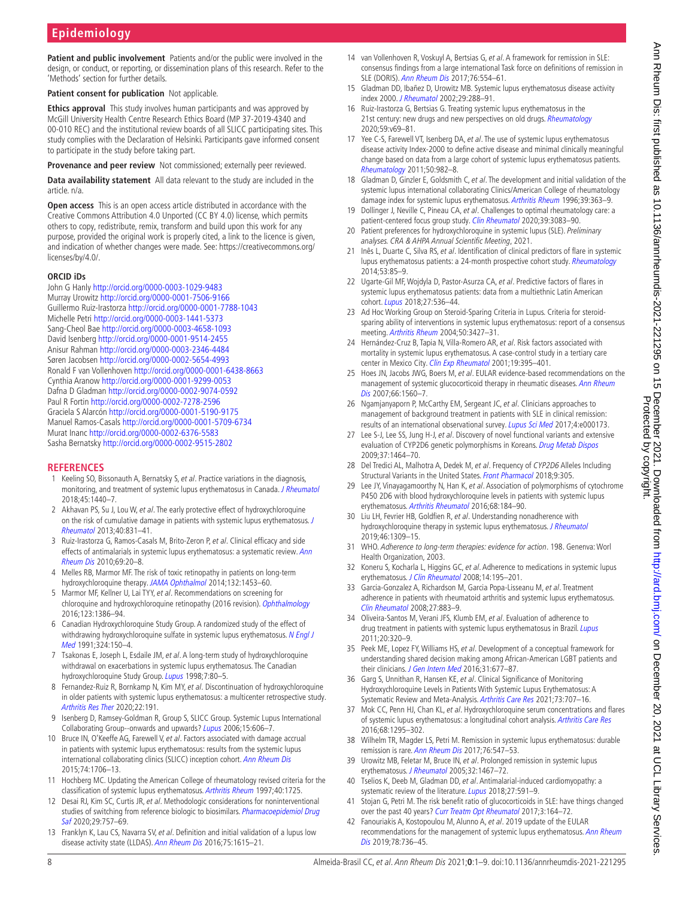**Patient and public involvement** Patients and/or the public were involved in the design, or conduct, or reporting, or dissemination plans of this research. Refer to the 'Methods' section for further details.

**Patient consent for publication** Not applicable.

**Ethics approval** This study involves human participants and was approved by McGill University Health Centre Research Ethics Board (MP 37-2019-4340 and 00-010 REC) and the institutional review boards of all SLICC participating sites. This study complies with the Declaration of Helsinki. Participants gave informed consent to participate in the study before taking part.

**Provenance and peer review** Not commissioned; externally peer reviewed.

**Data availability statement** All data relevant to the study are included in the article. n/a.

**Open access** This is an open access article distributed in accordance with the Creative Commons Attribution 4.0 Unported (CC BY 4.0) license, which permits others to copy, redistribute, remix, transform and build upon this work for any purpose, provided the original work is properly cited, a link to the licence is given, and indication of whether changes were made. See: [https://creativecommons.org/](https://creativecommons.org/licenses/by/4.0/) [licenses/by/4.0/.](https://creativecommons.org/licenses/by/4.0/)

## **ORCID iDs**

John G Hanly<http://orcid.org/0000-0003-1029-9483> Murray Urowitz <http://orcid.org/0000-0001-7506-9166> Guillermo Ruiz-Irastorza <http://orcid.org/0000-0001-7788-1043> Michelle Petri<http://orcid.org/0000-0003-1441-5373> Sang-Cheol Bae<http://orcid.org/0000-0003-4658-1093> David Isenberg<http://orcid.org/0000-0001-9514-2455> Anisur Rahman<http://orcid.org/0000-0003-2346-4484> Søren Jacobsen<http://orcid.org/0000-0002-5654-4993> Ronald F van Vollenhoven <http://orcid.org/0000-0001-6438-8663> Cynthia Aranow<http://orcid.org/0000-0001-9299-0053> Dafna D Gladman <http://orcid.org/0000-0002-9074-0592> Paul R Fortin <http://orcid.org/0000-0002-7278-2596> Graciela S Alarcón <http://orcid.org/0000-0001-5190-9175> Manuel Ramos-Casals<http://orcid.org/0000-0001-5709-6734> Murat Inanc<http://orcid.org/0000-0002-6376-5583> Sasha Bernatsky<http://orcid.org/0000-0002-9515-2802>

## **REFERENCES**

- <span id="page-7-0"></span>1 Keeling SO, Bissonauth A, Bernatsky S, et al. Practice variations in the diagnosis, monitoring, and treatment of systemic lupus erythematosus in Canada. [J Rheumatol](http://dx.doi.org/10.3899/jrheum.171307) 2018;45:1440–7.
- 2 Akhavan PS, Su J, Lou W, et al. The early protective effect of hydroxychloroquine on the risk of cumulative damage in patients with systemic lupus erythematosus. J [Rheumatol](http://dx.doi.org/10.3899/jrheum.120572) 2013;40:831–41.
- 3 Ruiz-Irastorza G, Ramos-Casals M, Brito-Zeron P, et al. Clinical efficacy and side effects of antimalarials in systemic lupus erythematosus: a systematic review. Ann [Rheum Dis](http://dx.doi.org/10.1136/ard.2008.101766) 2010;69:20–8.
- <span id="page-7-1"></span>4 Melles RB, Marmor MF. The risk of toxic retinopathy in patients on long-term hydroxychloroquine therapy. [JAMA Ophthalmol](http://dx.doi.org/10.1001/jamaophthalmol.2014.3459) 2014;132:1453-60.
- <span id="page-7-9"></span>5 Marmor MF, Kellner U, Lai TYY, et al. Recommendations on screening for chloroquine and hydroxychloroquine retinopathy (2016 revision). [Ophthalmology](http://dx.doi.org/10.1016/j.ophtha.2016.01.058) 2016;123:1386–94.
- <span id="page-7-2"></span>6 Canadian Hydroxychloroquine Study Group. A randomized study of the effect of withdrawing hydroxychloroquine sulfate in systemic lupus erythematosus. N Engl J [Med](http://dx.doi.org/10.1056/NEJM199101173240303) 1991;324:150–4.
- <span id="page-7-3"></span>7 Tsakonas E, Joseph L, Esdaile JM, et al. A long-term study of hydroxychloroquine withdrawal on exacerbations in systemic lupus erythematosus. The Canadian hydroxychloroquine Study Group. [Lupus](http://dx.doi.org/10.1191/096120398678919778) 1998;7:80-5.
- <span id="page-7-4"></span>8 Fernandez-Ruiz R, Bornkamp N, Kim MY, et al. Discontinuation of hydroxychloroquine in older patients with systemic lupus erythematosus: a multicenter retrospective study. [Arthritis Res Ther](http://dx.doi.org/10.1186/s13075-020-02282-0) 2020;22:191.
- <span id="page-7-5"></span>9 Isenberg D, Ramsey-Goldman R, Group S, SLICC Group. Systemic Lupus International Collaborating Group--onwards and upwards? [Lupus](http://dx.doi.org/10.1177/0961203306071868) 2006;15:606–7.
- <span id="page-7-6"></span>10 Bruce IN, O'Keeffe AG, Farewell V, et al. Factors associated with damage accrual in patients with systemic lupus erythematosus: results from the systemic lupus international collaborating clinics (SLICC) inception cohort. [Ann Rheum Dis](http://dx.doi.org/10.1136/annrheumdis-2013-205171) 2015;74:1706–13.
- <span id="page-7-7"></span>11 Hochberg MC. Updating the American College of rheumatology revised criteria for the classification of systemic lupus erythematosus. [Arthritis Rheum](http://dx.doi.org/10.1002/art.1780400928) 1997;40:1725.
- <span id="page-7-8"></span>12 Desai RJ, Kim SC, Curtis JR, et al. Methodologic considerations for noninterventional studies of switching from reference biologic to biosimilars. *Pharmacoepidemiol Drug* [Saf](http://dx.doi.org/10.1002/pds.4809) 2020;29:757-69.
- <span id="page-7-10"></span>13 Franklyn K, Lau CS, Navarra SV, et al. Definition and initial validation of a lupus low disease activity state (LLDAS). [Ann Rheum Dis](http://dx.doi.org/10.1136/annrheumdis-2015-207726) 2016;75:1615-21.
- <span id="page-7-11"></span>14 van Vollenhoven R, Voskuvl A, Bertsias G, et al. A framework for remission in SLE: consensus findings from a large international Task force on definitions of remission in SLE (DORIS). [Ann Rheum Dis](http://dx.doi.org/10.1136/annrheumdis-2016-209519) 2017;76:554–61.
- <span id="page-7-12"></span>15 Gladman DD, Ibañez D, Urowitz MB. Systemic lupus erythematosus disease activity index 2000. [J Rheumatol](http://www.ncbi.nlm.nih.gov/pubmed/11838846) 2002;29:288–91.
- <span id="page-7-13"></span>16 Ruiz-Irastorza G, Bertsias G. Treating systemic lupus erythematosus in the 21st century: new drugs and new perspectives on old drugs. [Rheumatology](http://dx.doi.org/10.1093/rheumatology/keaa403) 2020;59:v69–81.
- 17 Yee C-S, Farewell VT, Isenberg DA, et al. The use of systemic lupus erythematosus disease activity Index-2000 to define active disease and minimal clinically meaningful change based on data from a large cohort of systemic lupus erythematosus patients. [Rheumatology](http://dx.doi.org/10.1093/rheumatology/keq376) 2011;50:982–8.
- <span id="page-7-14"></span>18 Gladman D, Ginzler E, Goldsmith C, et al. The development and initial validation of the systemic lupus international collaborating Clinics/American College of rheumatology damage index for systemic lupus erythematosus. [Arthritis Rheum](http://dx.doi.org/10.1002/art.1780390303) 1996;39:363–9.
- <span id="page-7-15"></span>19 Dollinger J, Neville C, Pineau CA, et al. Challenges to optimal rheumatology care: a patient-centered focus group study. [Clin Rheumatol](http://dx.doi.org/10.1007/s10067-020-05091-7) 2020;39:3083-90.
- <span id="page-7-16"></span>20 Patient preferences for hydroxychloroquine in systemic lupus (SLE). Preliminary analyses. CRA & AHPA Annual Scientific Meeting, 2021.
- <span id="page-7-17"></span>21 Inês L, Duarte C, Silva RS, et al. Identification of clinical predictors of flare in systemic lupus erythematosus patients: a 24-month prospective cohort study. [Rheumatology](http://dx.doi.org/10.1093/rheumatology/ket322) 2014;53:85–9.
- 22 Ugarte-Gil MF, Wojdyla D, Pastor-Asurza CA, et al. Predictive factors of flares in systemic lupus erythematosus patients: data from a multiethnic Latin American cohort. [Lupus](http://dx.doi.org/10.1177/0961203317728810) 2018;27:536-44.
- <span id="page-7-18"></span>23 Ad Hoc Working Group on Steroid-Sparing Criteria in Lupus. Criteria for steroidsparing ability of interventions in systemic lupus erythematosus: report of a consensus meeting. [Arthritis Rheum](http://dx.doi.org/10.1002/art.20599) 2004;50:3427–31.
- 24 Hernández-Cruz B, Tapia N, Villa-Romero AR, et al. Risk factors associated with mortality in systemic lupus erythematosus. A case-control study in a tertiary care center in Mexico City. [Clin Exp Rheumatol](http://www.ncbi.nlm.nih.gov/pubmed/11491494) 2001;19:395-401.
- 25 Hoes JN, Jacobs JWG, Boers M, et al. EULAR evidence-based recommendations on the management of systemic glucocorticoid therapy in rheumatic diseases. [Ann Rheum](http://dx.doi.org/10.1136/ard.2007.072157)  [Dis](http://dx.doi.org/10.1136/ard.2007.072157) 2007;66:1560–7.
- <span id="page-7-19"></span>26 Ngamjanyaporn P, McCarthy EM, Sergeant JC, et al. Clinicians approaches to management of background treatment in patients with SLE in clinical remission: results of an international observational survey. [Lupus Sci Med](http://dx.doi.org/10.1136/lupus-2016-000173) 2017;4:e000173.
- <span id="page-7-20"></span>27 Lee S-J, Lee SS, Jung H-J, et al. Discovery of novel functional variants and extensive evaluation of CYP2D6 genetic polymorphisms in Koreans. [Drug Metab Dispos](http://dx.doi.org/10.1124/dmd.108.022368) 2009;37:1464–70.
- 28 Del Tredici AL, Malhotra A, Dedek M, et al. Frequency of CYP2D6 Alleles Including Structural Variants in the United States. [Front Pharmacol](http://dx.doi.org/10.3389/fphar.2018.00305) 2018;9:305.
- <span id="page-7-21"></span>29 Lee JY, Vinayagamoorthy N, Han K, et al. Association of polymorphisms of cytochrome P450 2D6 with blood hydroxychloroquine levels in patients with systemic lupus erythematosus. [Arthritis Rheumatol](http://dx.doi.org/10.1002/art.39402) 2016;68:184–90.
- <span id="page-7-22"></span>30 Liu LH, Fevrier HB, Goldfien R, et al. Understanding nonadherence with hydroxychloroquine therapy in systemic lupus erythematosus. *[J Rheumatol](http://dx.doi.org/10.3899/jrheum.180946)* 2019;46:1309–15.
- <span id="page-7-23"></span>31 WHO. Adherence to long-term therapies: evidence for action. 198. Genenva: Worl Health Organization, 2003.
- 32 Koneru S, Kocharla L, Higgins GC, et al. Adherence to medications in systemic lupus erythematosus. [J Clin Rheumatol](http://dx.doi.org/10.1097/RHU.0b013e31817a242a) 2008;14:195–201.
- 33 Garcia-Gonzalez A, Richardson M, Garcia Popa-Lisseanu M, et al. Treatment adherence in patients with rheumatoid arthritis and systemic lupus erythematosus. [Clin Rheumatol](http://dx.doi.org/10.1007/s10067-007-0816-6) 2008;27:883–9.
- 34 Oliveira-Santos M, Verani JFS, Klumb EM, et al. Evaluation of adherence to drug treatment in patients with systemic lupus erythematosus in Brazil. [Lupus](http://dx.doi.org/10.1177/0961203310383736) 2011;20:320–9.
- 35 Peek ME, Lopez FY, Williams HS, et al. Development of a conceptual framework for understanding shared decision making among African-American LGBT patients and their clinicians. [J Gen Intern Med](http://dx.doi.org/10.1007/s11606-016-3616-3) 2016;31:677-87.
- <span id="page-7-24"></span>36 Garg S, Unnithan R, Hansen KE, et al. Clinical Significance of Monitoring Hydroxychloroquine Levels in Patients With Systemic Lupus Erythematosus: A Systematic Review and Meta-Analysis. [Arthritis Care Res](http://dx.doi.org/10.1002/acr.24155) 2021;73:707-16.
- <span id="page-7-25"></span>37 Mok CC, Penn HJ, Chan KL, et al. Hydroxychloroquine serum concentrations and flares of systemic lupus erythematosus: a longitudinal cohort analysis. [Arthritis Care Res](http://dx.doi.org/10.1002/acr.22837) 2016;68:1295–302.
- <span id="page-7-26"></span>38 Wilhelm TR, Magder LS, Petri M. Remission in systemic lupus erythematosus: durable remission is rare. [Ann Rheum Dis](http://dx.doi.org/10.1136/annrheumdis-2016-209489) 2017;76:547–53.
- 39 Urowitz MB, Feletar M, Bruce IN, et al. Prolonged remission in systemic lupus erythematosus. [J Rheumatol](http://www.ncbi.nlm.nih.gov/pubmed/16078321) 2005;32:1467-72.
- 40 Tselios K, Deeb M, Gladman DD, et al. Antimalarial-induced cardiomyopathy: a systematic review of the literature. [Lupus](http://dx.doi.org/10.1177/0961203317734922) 2018;27:591-9.
- <span id="page-7-27"></span>41 Stojan G, Petri M. The risk benefit ratio of glucocorticoids in SLE: have things changed over the past 40 years? [Curr Treatm Opt Rheumatol](http://dx.doi.org/10.1007/s40674-017-0069-8) 2017;3:164-72.
- <span id="page-7-28"></span>42 Fanouriakis A, Kostopoulou M, Alunno A, et al. 2019 update of the EULAR recommendations for the management of systemic lupus erythematosus. [Ann Rheum](http://dx.doi.org/10.1136/annrheumdis-2019-215089)  [Dis](http://dx.doi.org/10.1136/annrheumdis-2019-215089) 2019;78:736-45.